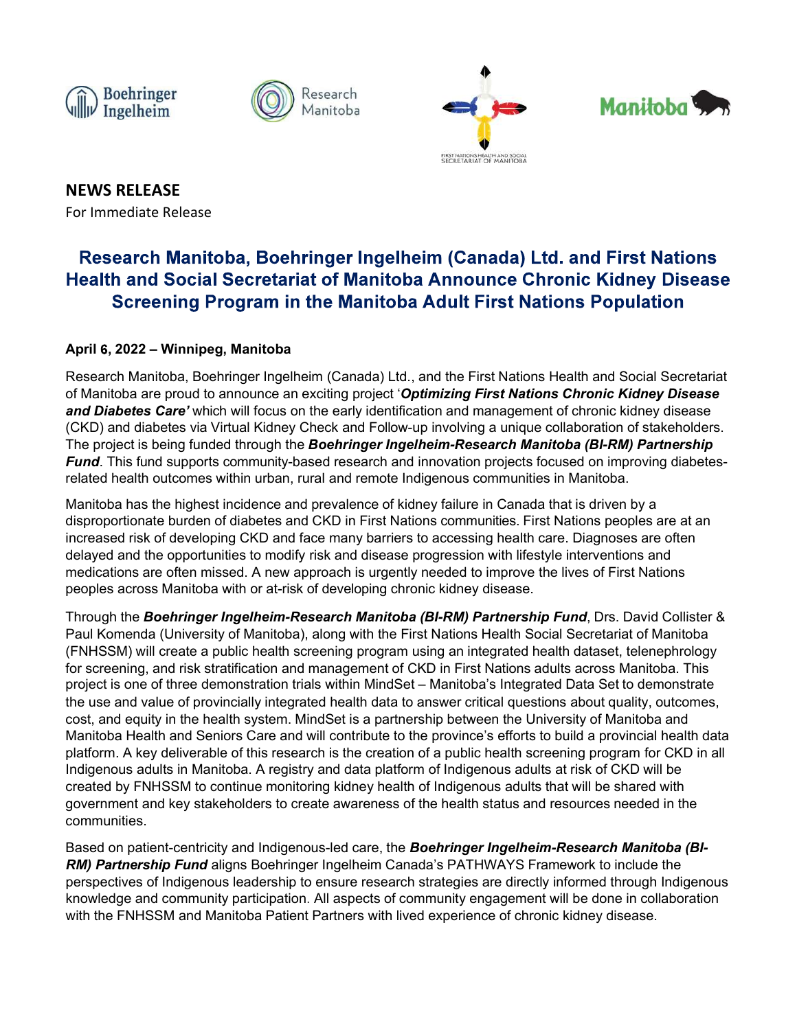







NEWS RELEASE For Immediate Release

# April 6, 2022 – Winnipeg, Manitoba

Research Manitoba<br>
Research Manitoba, Boehringer Ingelheim (Canada) Ltd., and First Nations<br>
Health and Social Secretariat of Manitoba Announce Chronic Kidney Disease<br>
Screening Program in the Manitoba Announce Chronic Kid **Second Manitoba are provided to announce and Second to announce and Second to announce and Secretarial Research Manitoba are program in the Manitoba Announce Chronic Kidney Disease<br>Screening Program in the Manitoba Announ** and Diabetes Care Manitobal Wannibobal Wannibobal Wannibobal Wannibobal Wannibobal Research For Immediate Release<br>For Immediate Release<br>Health and Social Secretariat of Manitoba Announce Chronic Kidney Disease<br>Screening Pr News RELEASE<br>
For Immediate Release<br>
For Immediate Release<br>
For Immediate Release<br> **Research Manitoba, Boehringer Ingelheim (Canada) Ltd. and First Nations<br>
Health and Social Secretariat of Manitoba Announce Chronic Kidney** The project is being funded through the Boehringer Ingelheim-Research Manitoba (BI-RM) Partnership For Immediate Release<br>For Immediate Release<br>Research Manitoba, Boehringer Ingelheim (Canada) Ltd. and First Nations<br>Health and Social Secretariat of Manitoba Announce Chronic Kidney Disease<br>Screening Program in the Manitob **related health outcomes within urban, rural and remote Indigenous communities in Manitoshem and First Nations<br>
Health and Social Secretariat of Manitoba Announce Chronic Kidney Disease<br>
Screening Program in the Manitoba A NEWS RELEASE**<br>
For Immediate Release<br>
Research Manitoba, Boehringer Ingelheim (Canada) Ltd. and First Nations<br>
Health and Social Secretariat of Manitoba Announce Chronic Kidney Disease<br>
Screening Program in the Manitoba A NEWS RELEASE<br>
Research Manitoba, Boehringer Ingelheim (Canada) Ltd. and First Nations<br>
Health and Social Secretariat of Manitoba Announce Chronic Kidney Disease<br>
Screening Program in the Manitoba Adult First Nations Popula For immediate Release<br> **Research Manitoba, Boehringer Ingelheim (Canada) Ltd. and First Nations<br>
Health and Social Secretariat of Manitoba Announce Chronic Kidney Disease<br>
Screening Program in the Manitoba Anul First Natio** Research Manitoba, Boehringer Ingelheim (Canada) Ltd. and First Nations<br>Health and Social Secretariat of Manitoba Announce Chronic Kidney Disease<br>Screening Program in the Manitoba Announce Chronic Kidney Disease<br>Screening Research Manitoba, Boehringer Ingelheim (Canada) Ltd. and First Nations<br>Health and Social Secretariat of Manitoba Announce Chronic Kidney Disease<br>Screening Program in the Manitoba Adult First Nations Population<br>April 6, 20 Research Manitoba, Boehringer Ingelheim (Canada) Ltd. and First Nations<br>Health and Social Secretariat of Manitoba Announce Chronic Kidney Disease<br>Screening Program in the Manitoba Adult First Nations Population<br>April 6, 20 **Health and Social Secretariat of Manitoba Aninounce Chronic Kidney Disease**<br>
Screening Program in the Manitoba Adult First Nations Population<br>
Research Manitoba<br>
Manitoba are proud to announce an exciting project "Optimiz Screenling Program in the Manitoba Adult First Nations Population<br>Research Manitoba, Boehringer Ingelheim (Canada) Ltd., and the First Nations Health and Social Secretariat<br>Research Manitoba, Boehringer Ingelheim (Canada)

April 6, 2022 – Winnipeg, Manitoba<br>Research Manitoba, Boehringer Ingelheim (Canada) Ltd., and the First Nations Health and Social Secretariat<br>of Manitoba are proud to announce an exciting project "Optimizing First Nations April 6, 2022 – Winnipeg, Manitoba<br>Research Manitoba, Boehringer Ingelheim (Canada) Ltd., and the First Nations Health and Social Secretariat<br>of Manitoba are proud to announce an exciting project "Optimizing First Nations April 6, 2022 – Winnipeg, Manitoba<br>
Research Mankioba, ace production conclusions of the minimal of Mankioba's chronic Kidney Disease<br>
endo Diabetes Care which will focus on the early identification and management of chron Research Manitoba, Boehringer Ingelheim (Canada) Ltd., and the First Nations Health and Social Secretariat of Manitoba are provid to announce an exciting project "Optimizing First Nations Chronic Kidney Disease and Diabate costem.<br>
Considerate the metalline with the earth of the early detricted project Optimizing First Nations Chronic Kidney Disease<br>
C(KD) and diabetes care which will focus on the early identification and management of chron of warehous are youthous and the meaning buyber. Option and management of chronic kidney disease<br>and Diabetes care which will focus on the early identification and management of chronic kidney disease<br>(CKD) and diabetes vi platform. A key deliverable of this research is the creative and manifeprene to the network of the proposition of stateholders. First project is being funded through the **Bookringer Ingelehalth F.Research Marindoba, (B-KM)** (View and view of the Broadce) of the Broadce of the Broadce Content of the Broadce Content of the Scheminger Ingelheim-Research Manitoba (BI-RM) Partnership.<br>Final This fund supports community-based research and innovatio From the both the methanic manned that the propriate the methanic state of the methanic state of the methanic methanic field the tilt of the methanic methanic methanic methanic methanic methanic methanic methanic methanic interior and the proper sometimes and present resources to create a matter of the method in the properties in Manitoba.<br>
Harabita the highest indications and prevalence of kidney failure in Canada that is divino by a dista communities. mannote the detection of the matter internal participation in the search is the consistent and collapsed risk of developing CRD and face many barriers to accessing helath care. Diagnoses are often missed. A new approach is Increased risk of developing CKD and face many barriers to accessing health care. Diagnoses are often medidial delayed and the opportunities to modify risk and distense progression with tilrestyle interventions and change nialized and the opportunities to modify risk and disease progression with lifestyle interventions and<br>needpeatons are often missed. A new approach is urgently needed to improve the lives of First Nations<br>peoples across Ma mentauro... The Following and the FNHSSM and Manitoba Partners with lived experience of chronic kidney disease.<br>Through the **Boekfringer Ingelheim-Research Manitoba (BI-RM) Partnership Fund,** Drs. David Collister & The His

knowledge and community participation. All aspects of community engagement will be done in collaboration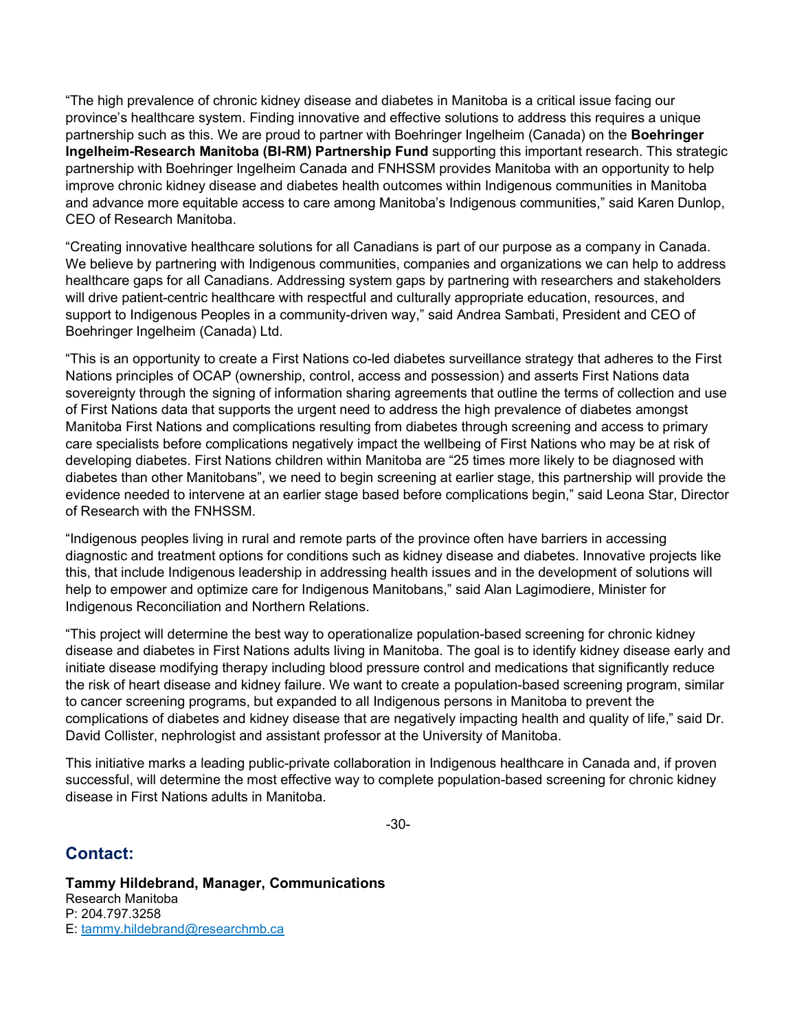"The high prevalence of chronic kidney disease and diabetes in Manitoba is a critical issue facing our province's healthcare system. Finding innovative and effective solutions to address this requires a unique partnership such as this. We are proud to partner with Boehringer Ingelheim (Canada) on the Boehringer Ingelheim-Research Manitoba (BI-RM) Partnership Fund supporting this important research. This strategic partnership with Boehringer Ingelheim Canada and FNHSSM provides Manitoba with an opportunity to help improve chronic kidney disease and diabetes health outcomes within Indigenous communities in Manitoba and advance more equitable access to care among Manitoba's Indigenous communities," said Karen Dunlop, CEO of Research Manitoba.

"Creating innovative healthcare solutions for all Canadians is part of our purpose as a company in Canada. We believe by partnering with Indigenous communities, companies and organizations we can help to address healthcare gaps for all Canadians. Addressing system gaps by partnering with researchers and stakeholders will drive patient-centric healthcare with respectful and culturally appropriate education, resources, and support to Indigenous Peoples in a community-driven way," said Andrea Sambati, President and CEO of Boehringer Ingelheim (Canada) Ltd.

"This is an opportunity to create a First Nations co-led diabetes surveillance strategy that adheres to the First Nations principles of OCAP (ownership, control, access and possession) and asserts First Nations data sovereignty through the signing of information sharing agreements that outline the terms of collection and use of First Nations data that supports the urgent need to address the high prevalence of diabetes amongst Manitoba First Nations and complications resulting from diabetes through screening and access to primary care specialists before complications negatively impact the wellbeing of First Nations who may be at risk of developing diabetes. First Nations children within Manitoba are "25 times more likely to be diagnosed with diabetes than other Manitobans", we need to begin screening at earlier stage, this partnership will provide the evidence needed to intervene at an earlier stage based before complications begin," said Leona Star, Director of Research with the FNHSSM. support to Indigenous Peoples in a community-driven way," said Andrea Sambati, President and CEO of<br>Boehringer Ingelheim (Canada) Ltd.<br>This is an opportunity to create a First Nations co-led diabetes surveillance strategy Boehringer Ingelheim (Canada) Ltd.<br>This is an opportunity to create a First Nations co-led diabetes surveillance strategy that adheres to the First<br>Nations principles of OCAP (ownership, control, access and possession) and This mean the end of the signing of information since a decosed convention of overage which we all the signing of information sharing agreements that outlient the terms of collection and the Softe (of the signing of inform

"Indigenous peoples living in rural and remote parts of the province often have barriers in accessing diagnostic and treatment options for conditions such as kidney disease and diabetes. Innovative projects like this, that include Indigenous leadership in addressing health issues and in the development of solutions will help to empower and optimize care for Indigenous Manitobans," said Alan Lagimodiere, Minister for Indigenous Reconciliation and Northern Relations.

"This project will determine the best way to operationalize population-based screening for chronic kidney the risk of heart disease and kidney failure. We want to create a population-based screening program, similar complications of diabetes and kidney disease that are negatively impacting health and quality of life," said Dr. David Collister, nephrologist and assistant professor at the University of Manitoba.

This initiative marks a leading public-private collaboration in Indigenous healthcare in Canada and, if proven successful, will determine the most effective way to complete population-based screening for chronic kidney disease in First Nations adults in Manitoba.

-30-

# Contact:

Tammy Hildebrand, Manager, Communications Research Manitoba P: 204.797.3258 E: tammy.hildebrand@researchmb.ca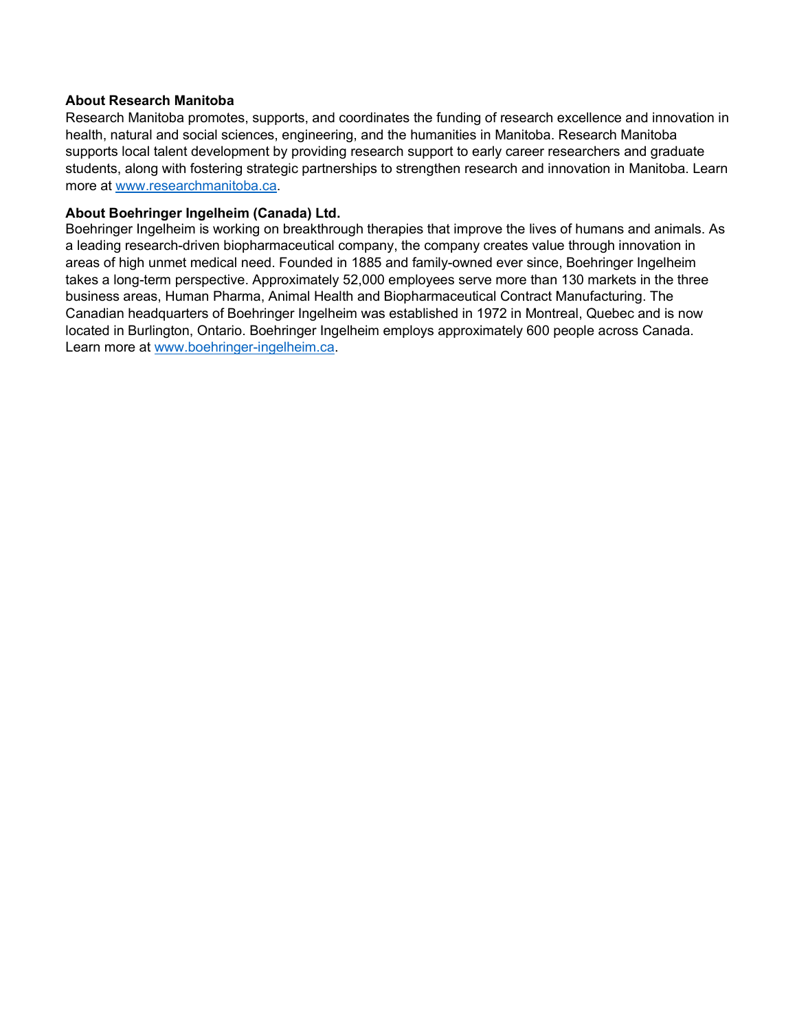# About Research Manitoba

Research Manitoba promotes, supports, and coordinates the funding of research excellence and innovation in health, natural and social sciences, engineering, and the humanities in Manitoba. Research Manitoba supports local talent development by providing research support to early career researchers and graduate students, along with fostering strategic partnerships to strengthen research and innovation in Manitoba. Learn more at www.researchmanitoba.ca.

# About Boehringer Ingelheim (Canada) Ltd.

Boehringer Ingelheim is working on breakthrough therapies that improve the lives of humans and animals. As a leading research-driven biopharmaceutical company, the company creates value through innovation in areas of high unmet medical need. Founded in 1885 and family-owned ever since, Boehringer Ingelheim takes a long-term perspective. Approximately 52,000 employees serve more than 130 markets in the three business areas, Human Pharma, Animal Health and Biopharmaceutical Contract Manufacturing. The Canadian headquarters of Boehringer Ingelheim was established in 1972 in Montreal, Quebec and is now [located in Burlington, Ontario. Boehringer Ingelheim](https://www.boehringer-ingelheim.ca/en) employs approximately 600 people across Canada. Learn more at www.boehringer-ingelheim.ca.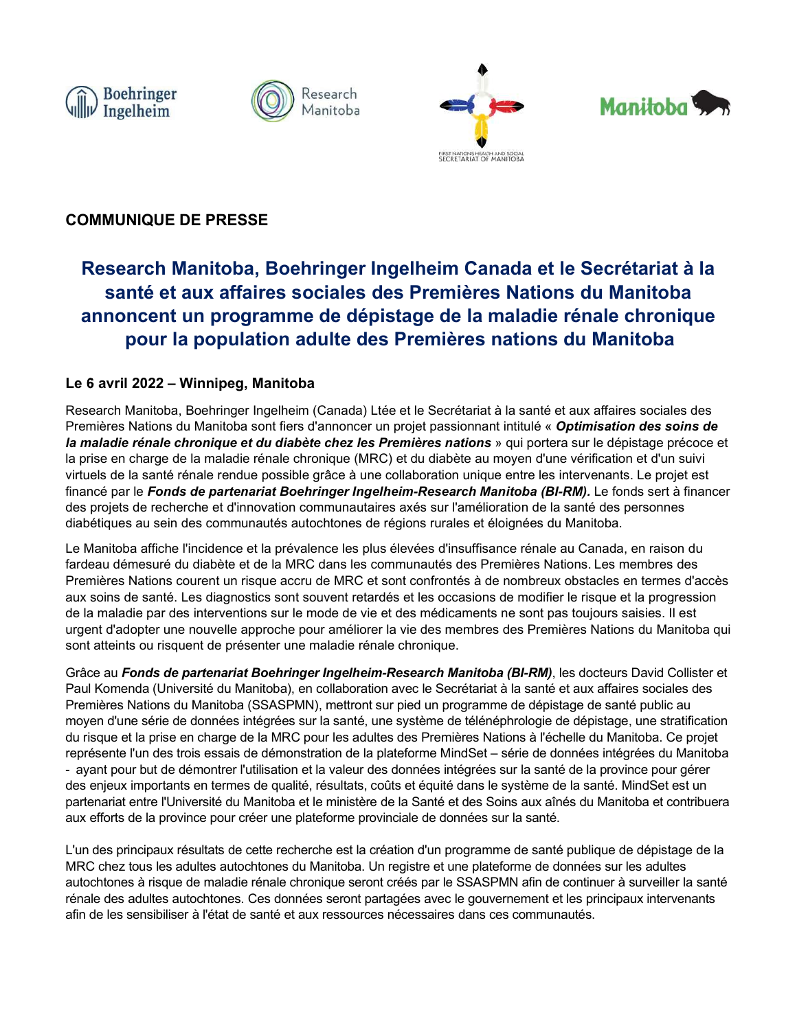







# COMMUNIQUE DE PRESSE

# Research Manitoba<br>
Manitoba, Boehringer Ingelheim Canada et le Secrétariat à la<br>
Santé et aux affaires sociales des Premières Nations du Manitoba<br>
pour la population adulte des Premières nations du Manitoba<br>
pour la popula santé et aux affaires sociales des Premières Nations du Manitoba annoncent un programme de dépistage de la maladie rénale chronique pour la population adulte des Premières nations du Manitoba Solar Communique De PRESSE<br>
Communique De PRESSE<br>
Research Manitoba, Boehringer Ingelheim Canada et<br>
santé et aux affaires sociales des Premières Nation<br>
annoncent un programme de dépistage de la maladie<br>
pour la populatio

Research Manitoba,<br>
Research Manitoba, Boehringer Ingelheim Canada et le Secrétariat à la<br>
santé et aux affaires sociales des Premières Nations du Manitoba<br>
annoncent un programme de dépistage de la maladie rénale chroniqu Premières Nations du Manitoba sont fiers du Manitoba sont fiers de la manitoire du Manitoba sont fiers d'annoncer un programme de dépistage de la maladie rénale chronique<br>
pour la population adulte des Premières Nations du la maladie rénale chronique et du diabète chez les Premières nations » qui portera sur le dépistage précoce et **Example 19 (COMMUNIQUE DE PRESSE<br>
Research Manitoba, Boehringer Ingelheim Canada et le Secrétariat à la<br>
santé et aux affaires sociales des Premières Nations du Manitoba<br>
annoncent un programme de dépistage de la maladie** virtuels de la maintoire de la maindre rendue rendue possible de la santé et de la santé et aux affaires sociales des Premières Nations du Manitoba<br>annoncent un programme de dépistage de la maladie rénale chronique<br>pour la financé par le Fonds de partenariat Boehringer Ingelheim-Research Manitoba (BI-RM). Le fonds sert à financer des projets de recherche et d'innovation communautaires axés sur l'amélioration de la santé des personnes diabétiques au sein des communautés autochtones de régions rurales et éloignées du Manitoba. COMMUNIQUE DE PRESSE<br>
Research Manitoba, Boehringer Ingelheim Canada et le Secrétariat à la<br>
santé et aux affaires sociales des Premières Nations du Manitoba<br>
annoncent un programme de dépistage de la maladie rénale chroni **Example 19 and 19 and 19 and 19 and 19 and 19 and 19 and 19 and 19 and 19 and 19 and 19 and 19 and 19 and 19 and 19 and 19 and 19 and 19 and 19 and 19 and 19 and 19 and 19 and 19 and 19 and 19 and 19 and 19 and 19 and 19** Research Manitoba, Boehringer Ingelheim Canada et le Secrétariat à la<br>
santé et aux affaires sociales des Premières Nations du Manitoba<br>
annoncent un programme de dépistage de la maladie rénale chronique<br>
pour la populatio Research Manitoba, Boehringer Ingelheim Canada et le Secrétariat à la<br>
santé et aux affaires sociales des Premières Nations du Manitoba<br>
annoncent un programme de dépistage de la maladie rénale chronique<br>
pour la populatio Contract the descriptions of the model of the model of the method of the system of the system of the method of the method of the Particle method and the system of the method of the system of the system of the system of the Sante et aux atraires sociales des Premieres nations du Manitoba<br>
annoncent un programme de dépistage de la maladie rénale chronique<br>
Le 6 avril 2022 – Winnipeg, Manitoba<br>
Le 6 avril 2022 – Winnipeg, Manitoba<br>
Research Ma **annoncent un programme de dépistage de la maladie rreponduel and propulation adulte des Premières nations d<br>Le 6 avril 2022 – Winnipeg, Manitoba<br>Research Manitoba, Boehringer Ingelheim (Canada) Ltée et le Secrétariat à la DOUIT 1a population adulte des Premières nations du Manitoba<br>Research Manitoba, Boehringer Ingelheim (Canada) Ltée et le Secrétariat à la santé et aux affaires sociales des<br>Premières Nations du Manitoba sont fiers d'annon Le 6 avril 2022 – Winnipeg, Manitoba**<br>Research Manitoba, Boehringer Ingelheim (Canada) Ltée et le Secrétariat à la santé et aux affaires sociales des<br>Premières Nations du Manitoba sont fiers d'amonocer un projet passionna Le 6 avril 2022 – Winnipeg, Manitoba<br>Research Manitoba, Boehringer Ingelheim (Canada) Liée et le Secrétariat à la santé et aux affaires sociales des<br>Premières Nations du Manitoba sont fiers d'annoncer un projet passionnant

moyen d'une série de données intégrées sur la santé, une système de télénéphrologie de dépistage, une stratification Research Manitoba, Boehringer Ingelheim (Canada) Ltée et le Secrétariat à la santé et aux affaires sociales des<br>Permières Nations du Manitoba sont fers d'amenner un projet passiomenti inititule « Optimisation des soins de<br> Now are the material of the material of the state of the state of the material of the material particular and the material particular and the material particular of the material particle is particle in the material particl Four and the endote and the meaning of the proper sympathy in the same of the properties in properties in the properties of the properties of the properties of the properties in the properties of the properties of the mean is musical contents that the present the matter of the system of the system of the system of the system of the system and the properties de la santé rénale randomic properties of the santé rénale finance participe partenan is prior on onary our instantant on the ministère du Manitoba (in the singulation of the ministère du Manitoba (in the singulation) and the singulation of the ministère due to the ministère due to the singulation of the si where<br>the pour tenter of the propince considerate production and the final of the method of the method of the<br>Financé part is from the province pour creation of munutaties are sure than the distant distanting and distantin diabetiques au sein des certains autochiones de régions rurales et dépises du Manitoba.<br>
Le Manitoba afficie l'incidence et la prévalence les plus élevées d'insuffrance rénule au Canada, en raison d<br>
fardeau démesuré du di ute Manitoba afforhe Unidence of the MRC dans les plateforme de sur les autochtones avec les antendences du Manitoba. An ensison du<br>Fremiens Nations corrent un risque accru de MRC det son longates de Remières Nations Les m Le Manitoba affiche l'inicidence et la prévalence les plus lévètes d'insuffisance rénale au Canata, en raison du<br>fardeau démestré du diabète et de la MRC dans les communautés des Premières Nations. Les membres des<br>Première fardeau démesuré du diabète at les la MRC dans les communautés des Premières Nations. Les membres des autochtones du diabète de la MRC des anté. Les diagnostics sont souvernt retiardés et les occasions de la progression de Premières Nations courert un risque accru de MRC et sont confrontés à de nombreux obstacles en termes d'accès<br>eux soins de santé. Les diagnostics sont souvent retardés et les occasions de modifier le risque et la progressi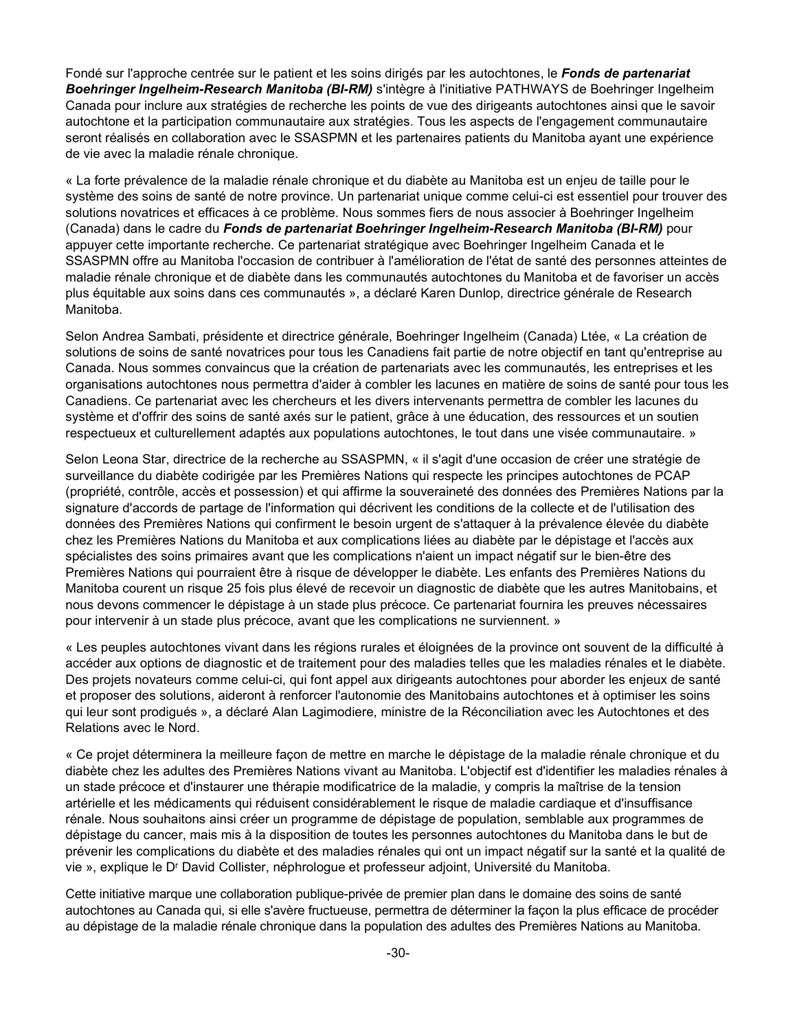Fondé sur l'approche centrée sur le patient et les soins dirigés par les autochtones, le Fonds de partenariat<br>Boehringer Ingelheim-Research Manitoba (BI-RM) s'intègre à l'initiative PATHWAYS de Boehringer Ingelheim<br>Canada Boehringer Ingelheim-Research Manitoba (BI-RM) s'intègre à l'initiative PATHWAYS de Boehringer Ingelheim Canada pour inclure aux stratégies de recherche les points de vue des dirigeants autochtones ainsi que le savoir autochtone et la participation communautaire aux stratégies. Tous les aspects de l'engagement communautaire seront réalisés en collaboration avec le SSASPMN et les partenaires patients du Manitoba ayant une expérience de vie avec la maladie rénale chronique.

« La forte prévalence de la maladie rénale chronique et du diabète au Manitoba est un enjeu de taille pour le système des soins de santé de notre province. Un partenariat unique comme celui-ci est essentiel pour trouver des solutions novatrices et efficaces à ce problème. Nous sommes fiers de nous associer à Boehringer Ingelheim (Canada) dans le cadre du Fonds de partenariat Boehringer Ingelheim-Research Manitoba (BI-RM) pour appuyer cette importante recherche. Ce partenariat stratégique avec Boehringer Ingelheim Canada et le SSASPMN offre au Manitoba l'occasion de contribuer à l'amélioration de l'état de santé des personnes atteintes de maladie rénale chronique et de diabète dans les communautés autochtones du Manitoba et de favoriser un accès plus équitable aux soins dans ces communautés », a déclaré Karen Dunlop, directrice générale de Research Manitoba.

Selon Andrea Sambati, présidente et directrice générale, Boehringer Ingelheim (Canada) Ltée, « La création de solutions de soins de santé novatrices pour tous les Canadiens fait partie de notre objectif en tant qu'entreprise au Canada. Nous sommes convaincus que la création de partenariats avec les communautés, les entreprises et les organisations autochtones nous permettra d'aider à combler les lacunes en matière de soins de santé pour tous les Canadiens. Ce partenariat avec les chercheurs et les divers intervenants permettra de combler les lacunes du système et d'offrir des soins de santé axés sur le patient, grâce à une éducation, des ressources et un soutien respectueux et culturellement adaptés aux populations autochtones, le tout dans une visée communautaire. »

Selon Leona Star, directrice de la recherche au SSASPMN, « il s'agit d'une occasion de créer une stratégie de surveillance du diabète codirigée par les Premières Nations qui respecte les principes autochtones de PCAP (propriété, contrôle, accès et possession) et qui affirme la souveraineté des données des Premières Nations par la signature d'accords de partage de l'information qui décrivent les conditions de la collecte et de l'utilisation des données des Premières Nations qui confirment le besoin urgent de s'attaquer à la prévalence élevée du diabète chez les Premières Nations du Manitoba et aux complications liées au diabète par le dépistage et l'accès aux spécialistes des soins primaires avant que les complications n'aient un impact négatif sur le bien-être des Premières Nations qui pourraient être à risque de développer le diabète. Les enfants des Premières Nations du Manitoba courent un risque 25 fois plus élevé de recevoir un diagnostic de diabète que les autres Manitobains, et nous devons commencer le dépistage à un stade plus précoce. Ce partenariat fournira les preuves nécessaires pour intervenir à un stade plus précoce, avant que les complications ne surviennent. »

« Les peuples autochtones vivant dans les régions rurales et éloignées de la province ont souvent de la difficulté à accéder aux options de diagnostic et de traitement pour des maladies telles que les maladies rénales et le diabète. Des projets novateurs comme celui-ci, qui font appel aux dirigeants autochtones pour aborder les enjeux de santé et proposer des solutions, aideront à renforcer l'autonomie des Manitobains autochtones et à optimiser les soins qui leur sont prodigués », a déclaré Alan Lagimodiere, ministre de la Réconciliation avec les Autochtones et des Relations avec le Nord.

« Ce projet déterminera la meilleure façon de mettre en marche le dépistage de la maladie rénale chronique et du diabète chez les adultes des Premières Nations vivant au Manitoba. L'objectif est d'identifier les maladies rénales à un stade précoce et d'instaurer une thérapie modificatrice de la maladie, y compris la maîtrise de la tension artérielle et les médicaments qui réduisent considérablement le risque de maladie cardiaque et d'insuffisance rénale. Nous souhaitons ainsi créer un programme de dépistage de population, semblable aux programmes de dépistage du cancer, mais mis à la disposition de toutes les personnes autochtones du Manitoba dans le but de prévenir les complications du diabète et des maladies rénales qui ont un impact négatif sur la santé et la qualité de vie », explique le Dr David Collister, néphrologue et professeur adjoint, Université du Manitoba.

Cette initiative marque une collaboration publique-privée de premier plan dans le domaine des soins de santé autochtones au Canada qui, si elle s'avère fructueuse, permettra de déterminer la façon la plus efficace de procéder au dépistage de la maladie rénale chronique dans la population des adultes des Premières Nations au Manitoba.